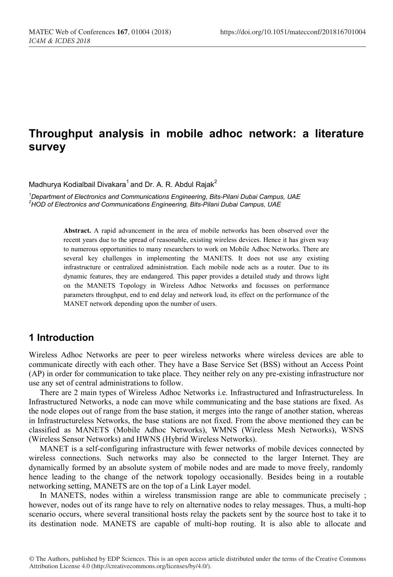# **Throughput analysis in mobile adhoc network: a literature survey**

Madhurya Kodialbail Divakara<sup>1</sup> and Dr. A. R. Abdul Rajak<sup>2</sup>

*1 Department of Electronics and Communications Engineering, Bits-Pilani Dubai Campus, UAE <sup>2</sup> HOD of Electronics and Communications Engineering, Bits-Pilani Dubai Campus, UAE*

> **Abstract.** A rapid advancement in the area of mobile networks has been observed over the recent years due to the spread of reasonable, existing wireless devices. Hence it has given way to numerous opportunities to many researchers to work on Mobile Adhoc Networks. There are several key challenges in implementing the MANETS. It does not use any existing infrastructure or centralized administration. Each mobile node acts as a router. Due to its dynamic features, they are endangered. This paper provides a detailed study and throws light on the MANETS Topology in Wireless Adhoc Networks and focusses on performance parameters throughput, end to end delay and network load, its effect on the performance of the MANET network depending upon the number of users.

#### **1 Introduction**

Wireless Adhoc Networks are peer to peer wireless networks where wireless devices are able to communicate directly with each other. They have a Base Service Set (BSS) without an Access Point (AP) in order for communication to take place. They neither rely on any pre-existing infrastructure nor use any set of central administrations to follow.

There are 2 main types of Wireless Adhoc Networks i.e. Infrastructured and Infrastructureless. In Infrastructured Networks, a node can move while communicating and the base stations are fixed. As the node elopes out of range from the base station, it merges into the range of another station, whereas in Infrastructureless Networks, the base stations are not fixed. From the above mentioned they can be classified as MANETS (Mobile Adhoc Networks), WMNS (Wireless Mesh Networks), WSNS (Wireless Sensor Networks) and HWNS (Hybrid Wireless Networks).

MANET is a self-configuring infrastructure with fewer networks of mobile devices connected by wireless connections. Such networks may also be connected to the larger Internet. They are dynamically formed by an absolute system of mobile nodes and are made to move freely, randomly hence leading to the change of the network topology occasionally. Besides being in a routable networking setting, MANETS are on the top of a Link Layer model.

In MANETS, nodes within a wireless transmission range are able to communicate precisely ; however, nodes out of its range have to rely on alternative nodes to relay messages. Thus, a multi-hop scenario occurs, where several transitional hosts relay the packets sent by the source host to take it to its destination node. MANETS are capable of multi-hop routing. It is also able to allocate and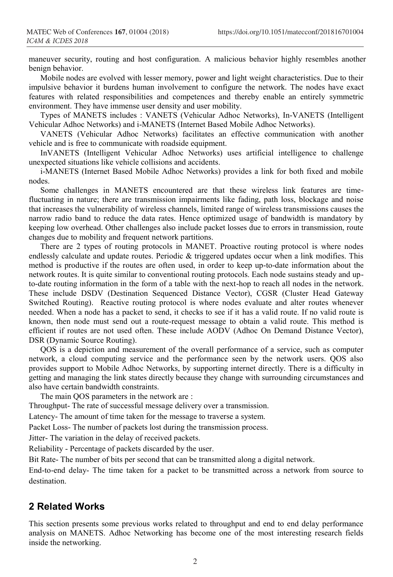maneuver security, routing and host configuration. A malicious behavior highly resembles another benign behavior.

Mobile nodes are evolved with lesser memory, power and light weight characteristics. Due to their impulsive behavior it burdens human involvement to configure the network. The nodes have exact features with related responsibilities and competences and thereby enable an entirely symmetric environment. They have immense user density and user mobility.

Types of MANETS includes : VANETS (Vehicular Adhoc Networks), In-VANETS (Intelligent Vehicular Adhoc Networks) and i-MANETS (Internet Based Mobile Adhoc Networks).

VANETS (Vehicular Adhoc Networks) facilitates an effective communication with another vehicle and is free to communicate with roadside equipment.

InVANETS (Intelligent Vehicular Adhoc Networks) uses artificial intelligence to challenge unexpected situations like vehicle collisions and accidents.

i-MANETS (Internet Based Mobile Adhoc Networks) provides a link for both fixed and mobile nodes.

Some challenges in MANETS encountered are that these wireless link features are timefluctuating in nature; there are transmission impairments like fading, path loss, blockage and noise that increases the vulnerability of wireless channels, limited range of wireless transmissions causes the narrow radio band to reduce the data rates. Hence optimized usage of bandwidth is mandatory by keeping low overhead. Other challenges also include packet losses due to errors in transmission, route changes due to mobility and frequent network partitions.

There are 2 types of routing protocols in MANET. Proactive routing protocol is where nodes endlessly calculate and update routes. Periodic & triggered updates occur when a link modifies. This method is productive if the routes are often used, in order to keep up-to-date information about the network routes. It is quite similar to conventional routing protocols. Each node sustains steady and upto-date routing information in the form of a table with the next-hop to reach all nodes in the network. These include DSDV (Destination Sequenced Distance Vector), CGSR (Cluster Head Gateway Switched Routing). Reactive routing protocol is where nodes evaluate and alter routes whenever needed. When a node has a packet to send, it checks to see if it has a valid route. If no valid route is known, then node must send out a route-request message to obtain a valid route. This method is efficient if routes are not used often. These include AODV (Adhoc On Demand Distance Vector), DSR (Dynamic Source Routing).

QOS is a depiction and measurement of the overall performance of a service, such as computer network, a cloud computing service and the performance seen by the network users. QOS also provides support to Mobile Adhoc Networks, by supporting internet directly. There is a difficulty in getting and managing the link states directly because they change with surrounding circumstances and also have certain bandwidth constraints.

The main QOS parameters in the network are :

Throughput- The rate of successful message delivery over a transmission.

Latency- The amount of time taken for the message to traverse a system.

Packet Loss- The number of packets lost during the transmission process.

Jitter- The variation in the delay of received packets.

Reliability - Percentage of packets discarded by the user.

Bit Rate- The number of bits per second that can be transmitted along a digital network.

End-to-end delay- The time taken for a packet to be transmitted across a network from source to destination.

#### **2 Related Works**

This section presents some previous works related to throughput and end to end delay performance analysis on MANETS. Adhoc Networking has become one of the most interesting research fields inside the networking.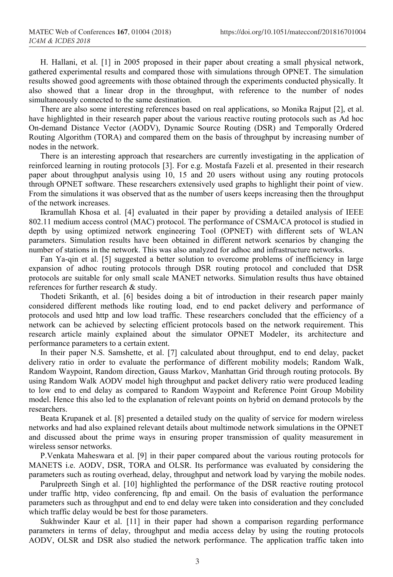H. Hallani, et al. [1] in 2005 proposed in their paper about creating a small physical network, gathered experimental results and compared those with simulations through OPNET. The simulation results showed good agreements with those obtained through the experiments conducted physically. It also showed that a linear drop in the throughput, with reference to the number of nodes simultaneously connected to the same destination.

There are also some interesting references based on real applications, so Monika Rajput [2], et al. have highlighted in their research paper about the various reactive routing protocols such as Ad hoc On-demand Distance Vector (AODV), Dynamic Source Routing (DSR) and Temporally Ordered Routing Algorithm (TORA) and compared them on the basis of throughput by increasing number of nodes in the network.

There is an interesting approach that researchers are currently investigating in the application of reinforced learning in routing protocols [3]. For e.g. Mostafa Fazeli et al. presented in their research paper about throughput analysis using 10, 15 and 20 users without using any routing protocols through OPNET software. These researchers extensively used graphs to highlight their point of view. From the simulations it was observed that as the number of users keeps increasing then the throughput of the network increases.

Ikramullah Khosa et al. [4] evaluated in their paper by providing a detailed analysis of IEEE 802.11 medium access control (MAC) protocol. The performance of CSMA/CA protocol is studied in depth by using optimized network engineering Tool (OPNET) with different sets of WLAN parameters. Simulation results have been obtained in different network scenarios by changing the number of stations in the network. This was also analyzed for adhoc and infrastructure networks.

Fan Ya-qin et al. [5] suggested a better solution to overcome problems of inefficiency in large expansion of adhoc routing protocols through DSR routing protocol and concluded that DSR protocols are suitable for only small scale MANET networks. Simulation results thus have obtained references for further research & study.

Thodeti Srikanth, et al. [6] besides doing a bit of introduction in their research paper mainly considered different methods like routing load, end to end packet delivery and performance of protocols and used http and low load traffic. These researchers concluded that the efficiency of a network can be achieved by selecting efficient protocols based on the network requirement. This research article mainly explained about the simulator OPNET Modeler, its architecture and performance parameters to a certain extent.

In their paper N.S. Samshette, et al. [7] calculated about throughput, end to end delay, packet delivery ratio in order to evaluate the performance of different mobility models; Random Walk, Random Waypoint, Random direction, Gauss Markov, Manhattan Grid through routing protocols. By using Random Walk AODV model high throughput and packet delivery ratio were produced leading to low end to end delay as compared to Random Waypoint and Reference Point Group Mobility model. Hence this also led to the explanation of relevant points on hybrid on demand protocols by the researchers.

Beata Krupanek et al. [8] presented a detailed study on the quality of service for modern wireless networks and had also explained relevant details about multimode network simulations in the OPNET and discussed about the prime ways in ensuring proper transmission of quality measurement in wireless sensor networks.

P.Venkata Maheswara et al. [9] in their paper compared about the various routing protocols for MANETS i.e. AODV, DSR, TORA and OLSR. Its performance was evaluated by considering the parameters such as routing overhead, delay, throughput and network load by varying the mobile nodes.

Parulpreeth Singh et al. [10] highlighted the performance of the DSR reactive routing protocol under traffic http, video conferencing, ftp and email. On the basis of evaluation the performance parameters such as throughput and end to end delay were taken into consideration and they concluded which traffic delay would be best for those parameters.

Sukhwinder Kaur et al. [11] in their paper had shown a comparison regarding performance parameters in terms of delay, throughput and media access delay by using the routing protocols AODV, OLSR and DSR also studied the network performance. The application traffic taken into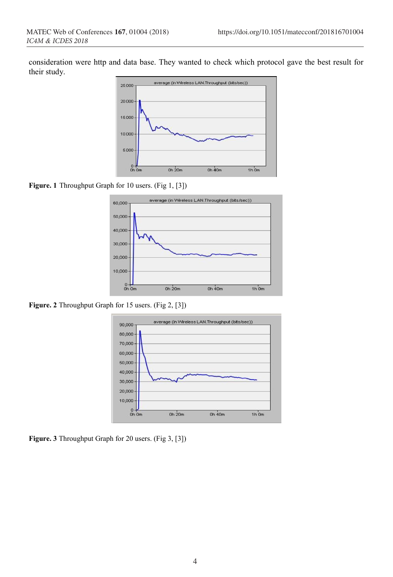consideration were http and data base. They wanted to check which protocol gave the best result for their study.



**Figure. 1** Throughput Graph for 10 users. (Fig 1, [3])



**Figure. 2** Throughput Graph for 15 users. (Fig 2, [3])



**Figure. 3** Throughput Graph for 20 users. (Fig 3, [3])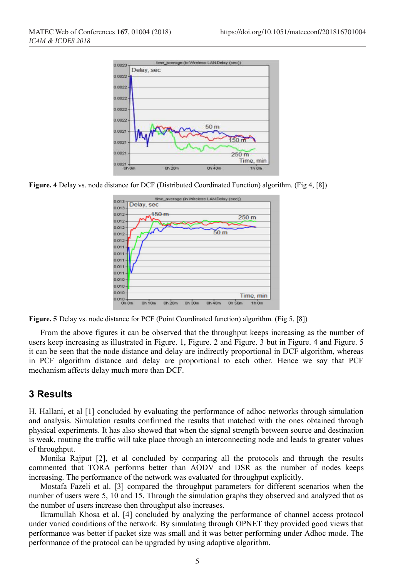

**Figure. 4** Delay vs. node distance for DCF (Distributed Coordinated Function) algorithm. (Fig 4, [8])



**Figure. 5** Delay vs. node distance for PCF (Point Coordinated function) algorithm. (Fig 5, [8])

From the above figures it can be observed that the throughput keeps increasing as the number of users keep increasing as illustrated in Figure. 1, Figure. 2 and Figure. 3 but in Figure. 4 and Figure. 5 it can be seen that the node distance and delay are indirectly proportional in DCF algorithm, whereas in PCF algorithm distance and delay are proportional to each other. Hence we say that PCF mechanism affects delay much more than DCF.

#### **3 Results**

H. Hallani, et al [1] concluded by evaluating the performance of adhoc networks through simulation and analysis. Simulation results confirmed the results that matched with the ones obtained through physical experiments. It has also showed that when the signal strength between source and destination is weak, routing the traffic will take place through an interconnecting node and leads to greater values of throughput.

Monika Rajput [2], et al concluded by comparing all the protocols and through the results commented that TORA performs better than AODV and DSR as the number of nodes keeps increasing. The performance of the network was evaluated for throughput explicitly.

Mostafa Fazeli et al. [3] compared the throughput parameters for different scenarios when the number of users were 5, 10 and 15. Through the simulation graphs they observed and analyzed that as the number of users increase then throughput also increases.

Ikramullah Khosa et al. [4] concluded by analyzing the performance of channel access protocol under varied conditions of the network. By simulating through OPNET they provided good views that performance was better if packet size was small and it was better performing under Adhoc mode. The performance of the protocol can be upgraded by using adaptive algorithm.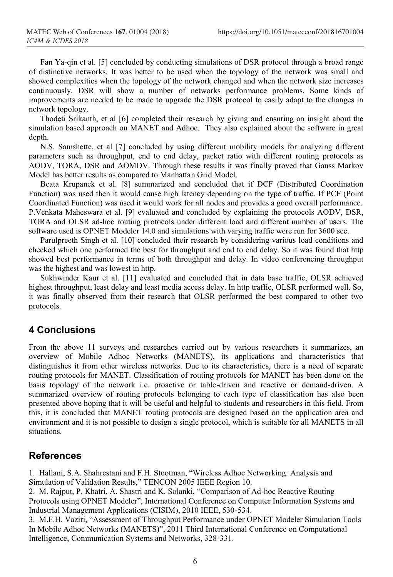Fan Ya-qin et al. [5] concluded by conducting simulations of DSR protocol through a broad range of distinctive networks. It was better to be used when the topology of the network was small and showed complexities when the topology of the network changed and when the network size increases continuously. DSR will show a number of networks performance problems. Some kinds of improvements are needed to be made to upgrade the DSR protocol to easily adapt to the changes in network topology.

Thodeti Srikanth, et al [6] completed their research by giving and ensuring an insight about the simulation based approach on MANET and Adhoc. They also explained about the software in great depth.

N.S. Samshette, et al [7] concluded by using different mobility models for analyzing different parameters such as throughput, end to end delay, packet ratio with different routing protocols as AODV, TORA, DSR and AOMDV. Through these results it was finally proved that Gauss Markov Model has better results as compared to Manhattan Grid Model.

Beata Krupanek et al. [8] summarized and concluded that if DCF (Distributed Coordination Function) was used then it would cause high latency depending on the type of traffic. If PCF (Point Coordinated Function) was used it would work for all nodes and provides a good overall performance. P.Venkata Maheswara et al. [9] evaluated and concluded by explaining the protocols AODV, DSR, TORA and OLSR ad-hoc routing protocols under different load and different number of users. The software used is OPNET Modeler 14.0 and simulations with varying traffic were run for 3600 sec.

Parulpreeth Singh et al. [10] concluded their research by considering various load conditions and checked which one performed the best for throughput and end to end delay. So it was found that http showed best performance in terms of both throughput and delay. In video conferencing throughput was the highest and was lowest in http.

Sukhwinder Kaur et al. [11] evaluated and concluded that in data base traffic, OLSR achieved highest throughput, least delay and least media access delay. In http traffic, OLSR performed well. So, it was finally observed from their research that OLSR performed the best compared to other two protocols.

### **4 Conclusions**

From the above 11 surveys and researches carried out by various researchers it summarizes, an overview of Mobile Adhoc Networks (MANETS), its applications and characteristics that distinguishes it from other wireless networks. Due to its characteristics, there is a need of separate routing protocols for MANET. Classification of routing protocols for MANET has been done on the basis topology of the network i.e. proactive or table-driven and reactive or demand-driven. A summarized overview of routing protocols belonging to each type of classification has also been presented above hoping that it will be useful and helpful to students and researchers in this field. From this, it is concluded that MANET routing protocols are designed based on the application area and environment and it is not possible to design a single protocol, which is suitable for all MANETS in all situations.

## **References**

1. Hallani, S.A. Shahrestani and F.H. Stootman, "Wireless Adhoc Networking: Analysis and Simulation of Validation Results," TENCON 2005 IEEE Region 10.

2. M. Rajput, P. Khatri, A. Shastri and K. Solanki, "Comparison of Ad-hoc Reactive Routing Protocols using OPNET Modeler", International Conference on Computer Information Systems and Industrial Management Applications (CISIM), 2010 IEEE, 530-534.

3. M.F.H. Vaziri, "Assessment of Throughput Performance under OPNET Modeler Simulation Tools In Mobile Adhoc Networks (MANETS)", 2011 Third International Conference on Computational Intelligence, Communication Systems and Networks, 328-331.